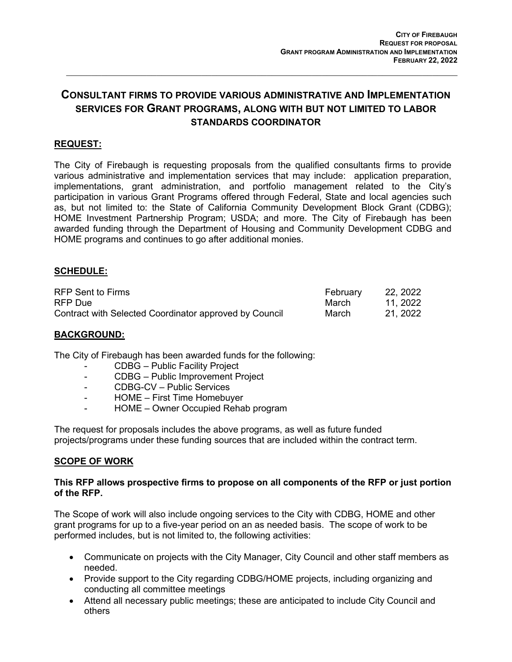# **CONSULTANT FIRMS TO PROVIDE VARIOUS ADMINISTRATIVE AND IMPLEMENTATION SERVICES FOR GRANT PROGRAMS, ALONG WITH BUT NOT LIMITED TO LABOR STANDARDS COORDINATOR**

\_\_\_\_\_\_\_\_\_\_\_\_\_\_\_\_\_\_\_\_\_\_\_\_\_\_\_\_\_\_\_\_\_\_\_\_\_\_\_\_\_\_\_\_\_\_\_\_\_\_\_\_\_\_\_\_\_\_\_\_\_\_\_\_\_\_\_\_\_\_\_\_\_\_\_\_\_\_

# **REQUEST:**

The City of Firebaugh is requesting proposals from the qualified consultants firms to provide various administrative and implementation services that may include: application preparation, implementations, grant administration, and portfolio management related to the City's participation in various Grant Programs offered through Federal, State and local agencies such as, but not limited to: the State of California Community Development Block Grant (CDBG); HOME Investment Partnership Program; USDA; and more. The City of Firebaugh has been awarded funding through the Department of Housing and Community Development CDBG and HOME programs and continues to go after additional monies.

## **SCHEDULE:**

| RFP Sent to Firms                                      | February | 22, 2022 |
|--------------------------------------------------------|----------|----------|
| RFP Due                                                | March    | 11. 2022 |
| Contract with Selected Coordinator approved by Council | March    | 21, 2022 |

## **BACKGROUND:**

The City of Firebaugh has been awarded funds for the following:

- CDBG Public Facility Project
- CDBG Public Improvement Project
- CDBG-CV Public Services
- HOME First Time Homebuyer
- HOME Owner Occupied Rehab program

The request for proposals includes the above programs, as well as future funded projects/programs under these funding sources that are included within the contract term.

## **SCOPE OF WORK**

#### **This RFP allows prospective firms to propose on all components of the RFP or just portion of the RFP.**

The Scope of work will also include ongoing services to the City with CDBG, HOME and other grant programs for up to a five-year period on an as needed basis. The scope of work to be performed includes, but is not limited to, the following activities:

- Communicate on projects with the City Manager, City Council and other staff members as needed.
- Provide support to the City regarding CDBG/HOME projects, including organizing and conducting all committee meetings
- Attend all necessary public meetings; these are anticipated to include City Council and others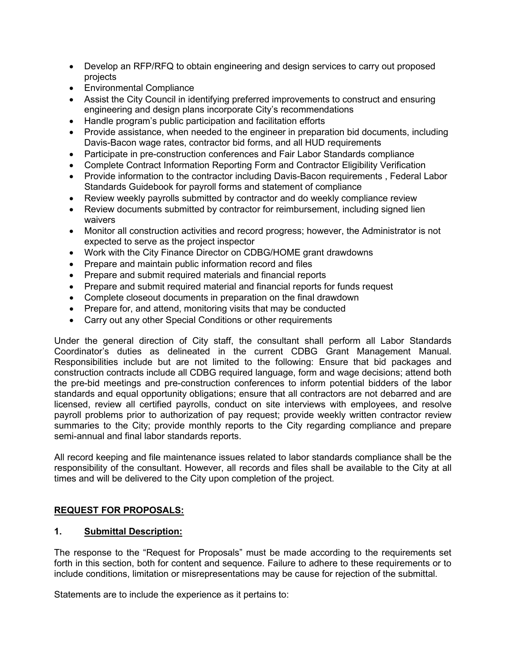- Develop an RFP/RFQ to obtain engineering and design services to carry out proposed projects
- Environmental Compliance
- Assist the City Council in identifying preferred improvements to construct and ensuring engineering and design plans incorporate City's recommendations
- Handle program's public participation and facilitation efforts
- Provide assistance, when needed to the engineer in preparation bid documents, including Davis-Bacon wage rates, contractor bid forms, and all HUD requirements
- Participate in pre-construction conferences and Fair Labor Standards compliance
- Complete Contract Information Reporting Form and Contractor Eligibility Verification
- Provide information to the contractor including Davis-Bacon requirements . Federal Labor Standards Guidebook for payroll forms and statement of compliance
- Review weekly payrolls submitted by contractor and do weekly compliance review
- Review documents submitted by contractor for reimbursement, including signed lien waivers
- Monitor all construction activities and record progress; however, the Administrator is not expected to serve as the project inspector
- Work with the City Finance Director on CDBG/HOME grant drawdowns
- Prepare and maintain public information record and files
- Prepare and submit required materials and financial reports
- Prepare and submit required material and financial reports for funds request
- Complete closeout documents in preparation on the final drawdown
- Prepare for, and attend, monitoring visits that may be conducted
- Carry out any other Special Conditions or other requirements

Under the general direction of City staff, the consultant shall perform all Labor Standards Coordinator's duties as delineated in the current CDBG Grant Management Manual. Responsibilities include but are not limited to the following: Ensure that bid packages and construction contracts include all CDBG required language, form and wage decisions; attend both the pre-bid meetings and pre-construction conferences to inform potential bidders of the labor standards and equal opportunity obligations; ensure that all contractors are not debarred and are licensed, review all certified payrolls, conduct on site interviews with employees, and resolve payroll problems prior to authorization of pay request; provide weekly written contractor review summaries to the City; provide monthly reports to the City regarding compliance and prepare semi-annual and final labor standards reports.

All record keeping and file maintenance issues related to labor standards compliance shall be the responsibility of the consultant. However, all records and files shall be available to the City at all times and will be delivered to the City upon completion of the project.

## **REQUEST FOR PROPOSALS:**

## **1. Submittal Description:**

The response to the "Request for Proposals" must be made according to the requirements set forth in this section, both for content and sequence. Failure to adhere to these requirements or to include conditions, limitation or misrepresentations may be cause for rejection of the submittal.

Statements are to include the experience as it pertains to: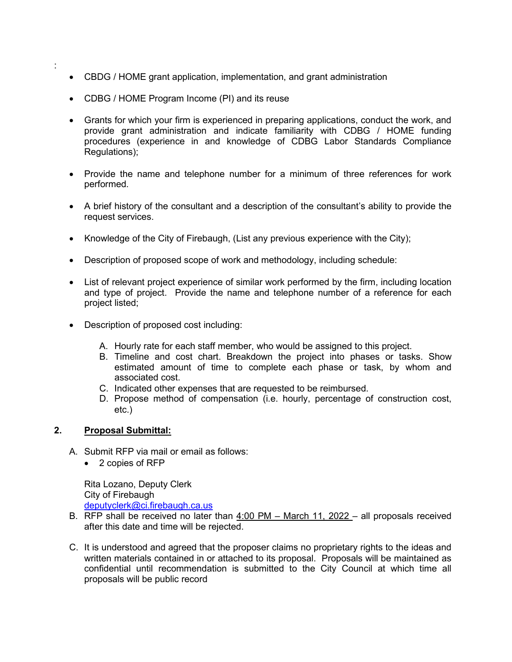- CBDG / HOME grant application, implementation, and grant administration
- CDBG / HOME Program Income (PI) and its reuse
- Grants for which your firm is experienced in preparing applications, conduct the work, and provide grant administration and indicate familiarity with CDBG / HOME funding procedures (experience in and knowledge of CDBG Labor Standards Compliance Regulations);
- Provide the name and telephone number for a minimum of three references for work performed.
- A brief history of the consultant and a description of the consultant's ability to provide the request services.
- Knowledge of the City of Firebaugh, (List any previous experience with the City);
- Description of proposed scope of work and methodology, including schedule:
- List of relevant project experience of similar work performed by the firm, including location and type of project. Provide the name and telephone number of a reference for each project listed;
- Description of proposed cost including:
	- A. Hourly rate for each staff member, who would be assigned to this project.
	- B. Timeline and cost chart. Breakdown the project into phases or tasks. Show estimated amount of time to complete each phase or task, by whom and associated cost.
	- C. Indicated other expenses that are requested to be reimbursed.
	- D. Propose method of compensation (i.e. hourly, percentage of construction cost, etc.)

## **2. Proposal Submittal:**

:

- A. Submit RFP via mail or email as follows:
	- 2 copies of RFP

Rita Lozano, Deputy Clerk City of Firebaugh [deputyclerk@ci.firebaugh.ca.us](mailto:deputyclerk@ci.firebaugh.ca.us)

- B. RFP shall be received no later than 4:00 PM March 11, 2022 all proposals received after this date and time will be rejected.
- C. It is understood and agreed that the proposer claims no proprietary rights to the ideas and written materials contained in or attached to its proposal. Proposals will be maintained as confidential until recommendation is submitted to the City Council at which time all proposals will be public record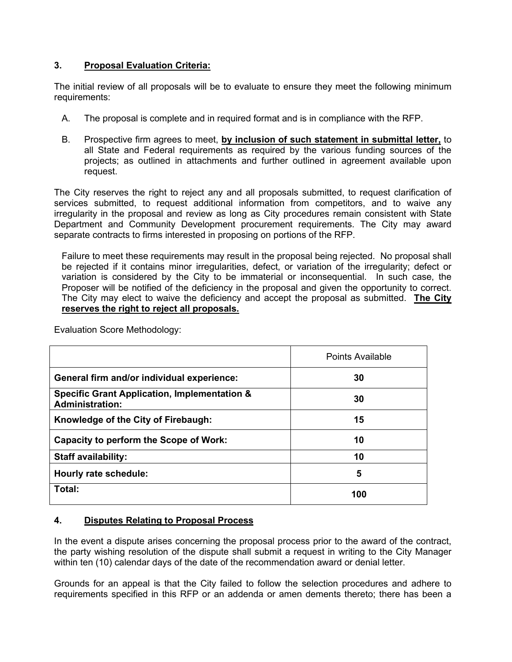## **3. Proposal Evaluation Criteria:**

The initial review of all proposals will be to evaluate to ensure they meet the following minimum requirements:

- A. The proposal is complete and in required format and is in compliance with the RFP.
- B. Prospective firm agrees to meet, **by inclusion of such statement in submittal letter,** to all State and Federal requirements as required by the various funding sources of the projects; as outlined in attachments and further outlined in agreement available upon request.

The City reserves the right to reject any and all proposals submitted, to request clarification of services submitted, to request additional information from competitors, and to waive any irregularity in the proposal and review as long as City procedures remain consistent with State Department and Community Development procurement requirements. The City may award separate contracts to firms interested in proposing on portions of the RFP.

Failure to meet these requirements may result in the proposal being rejected. No proposal shall be rejected if it contains minor irregularities, defect, or variation of the irregularity; defect or variation is considered by the City to be immaterial or inconsequential. In such case, the Proposer will be notified of the deficiency in the proposal and given the opportunity to correct. The City may elect to waive the deficiency and accept the proposal as submitted. **The City reserves the right to reject all proposals.**

|                                                                        | Points Available |
|------------------------------------------------------------------------|------------------|
| General firm and/or individual experience:                             | 30               |
| Specific Grant Application, Implementation &<br><b>Administration:</b> | 30               |
| Knowledge of the City of Firebaugh:                                    | 15               |
| Capacity to perform the Scope of Work:                                 | 10               |
| <b>Staff availability:</b>                                             | 10               |
| Hourly rate schedule:                                                  | 5                |
| Total:                                                                 | 100              |

Evaluation Score Methodology:

# **4. Disputes Relating to Proposal Process**

In the event a dispute arises concerning the proposal process prior to the award of the contract, the party wishing resolution of the dispute shall submit a request in writing to the City Manager within ten (10) calendar days of the date of the recommendation award or denial letter.

Grounds for an appeal is that the City failed to follow the selection procedures and adhere to requirements specified in this RFP or an addenda or amen dements thereto; there has been a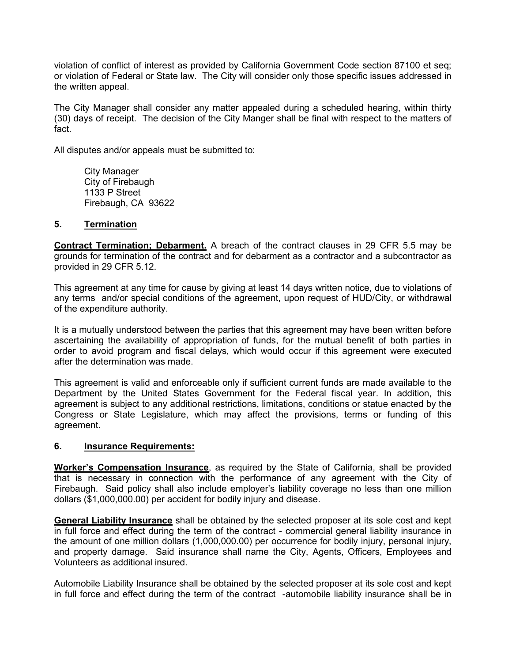violation of conflict of interest as provided by California Government Code section 87100 et seq; or violation of Federal or State law. The City will consider only those specific issues addressed in the written appeal.

The City Manager shall consider any matter appealed during a scheduled hearing, within thirty (30) days of receipt. The decision of the City Manger shall be final with respect to the matters of fact.

All disputes and/or appeals must be submitted to:

City Manager City of Firebaugh 1133 P Street Firebaugh, CA 93622

#### **5. Termination**

**Contract Termination; Debarment.** A breach of the contract clauses in 29 CFR 5.5 may be grounds for termination of the contract and for debarment as a contractor and a subcontractor as provided in 29 CFR 5.12.

This agreement at any time for cause by giving at least 14 days written notice, due to violations of any terms and/or special conditions of the agreement, upon request of HUD/City, or withdrawal of the expenditure authority.

It is a mutually understood between the parties that this agreement may have been written before ascertaining the availability of appropriation of funds, for the mutual benefit of both parties in order to avoid program and fiscal delays, which would occur if this agreement were executed after the determination was made.

This agreement is valid and enforceable only if sufficient current funds are made available to the Department by the United States Government for the Federal fiscal year. In addition, this agreement is subject to any additional restrictions, limitations, conditions or statue enacted by the Congress or State Legislature, which may affect the provisions, terms or funding of this agreement.

#### **6. Insurance Requirements:**

**Worker's Compensation Insurance**, as required by the State of California, shall be provided that is necessary in connection with the performance of any agreement with the City of Firebaugh. Said policy shall also include employer's liability coverage no less than one million dollars (\$1,000,000.00) per accident for bodily injury and disease.

**General Liability Insurance** shall be obtained by the selected proposer at its sole cost and kept in full force and effect during the term of the contract - commercial general liability insurance in the amount of one million dollars (1,000,000.00) per occurrence for bodily injury, personal injury, and property damage. Said insurance shall name the City, Agents, Officers, Employees and Volunteers as additional insured.

Automobile Liability Insurance shall be obtained by the selected proposer at its sole cost and kept in full force and effect during the term of the contract -automobile liability insurance shall be in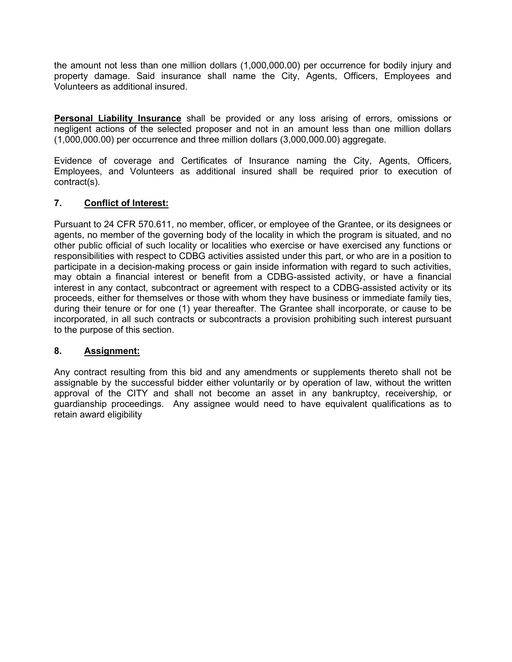the amount not less than one million dollars (1,000,000.00) per occurrence for bodily injury and property damage. Said insurance shall name the City, Agents, Officers, Employees and Volunteers as additional insured.

**Personal Liability Insurance** shall be provided or any loss arising of errors, omissions or negligent actions of the selected proposer and not in an amount less than one million dollars (1,000,000.00) per occurrence and three million dollars (3,000,000.00) aggregate.

Evidence of coverage and Certificates of Insurance naming the City, Agents, Officers, Employees, and Volunteers as additional insured shall be required prior to execution of contract(s).

## **7. Conflict of Interest:**

Pursuant to 24 CFR 570.611, no member, officer, or employee of the Grantee, or its designees or agents, no member of the governing body of the locality in which the program is situated, and no other public official of such locality or localities who exercise or have exercised any functions or responsibilities with respect to CDBG activities assisted under this part, or who are in a position to participate in a decision-making process or gain inside information with regard to such activities, may obtain a financial interest or benefit from a CDBG-assisted activity, or have a financial interest in any contact, subcontract or agreement with respect to a CDBG-assisted activity or its proceeds, either for themselves or those with whom they have business or immediate family ties, during their tenure or for one (1) year thereafter. The Grantee shall incorporate, or cause to be incorporated, in all such contracts or subcontracts a provision prohibiting such interest pursuant to the purpose of this section.

## **8. Assignment:**

Any contract resulting from this bid and any amendments or supplements thereto shall not be assignable by the successful bidder either voluntarily or by operation of law, without the written approval of the CITY and shall not become an asset in any bankruptcy, receivership, or guardianship proceedings. Any assignee would need to have equivalent qualifications as to retain award eligibility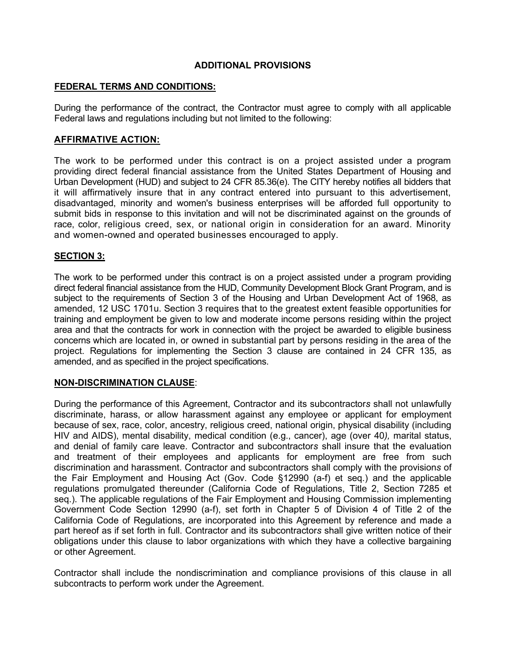## **ADDITIONAL PROVISIONS**

#### **FEDERAL TERMS AND CONDITIONS:**

During the performance of the contract, the Contractor must agree to comply with all applicable Federal laws and regulations including but not limited to the following:

#### **AFFIRMATIVE ACTION:**

The work to be performed under this contract is on a project assisted under a program providing direct federal financial assistance from the United States Department of Housing and Urban Development (HUD) and subject to 24 CFR 85.36(e). The CITY hereby notifies all bidders that it will affirmatively insure that in any contract entered into pursuant to this advertisement, disadvantaged, minority and women's business enterprises will be afforded full opportunity to submit bids in response to this invitation and will not be discriminated against on the grounds of race, color, religious creed, sex, or national origin in consideration for an award. Minority and women-owned and operated businesses encouraged to apply.

#### **SECTION 3:**

The work to be performed under this contract is on a project assisted under a program providing direct federal financial assistance from the HUD, Community Development Block Grant Program, and is subject to the requirements of Section 3 of the Housing and Urban Development Act of 1968, as amended, 12 USC 1701u. Section 3 requires that to the greatest extent feasible opportunities for training and employment be given to low and moderate income persons residing within the project area and that the contracts for work in connection with the project be awarded to eligible business concerns which are located in, or owned in substantial part by persons residing in the area of the project. Regulations for implementing the Section 3 clause are contained in 24 CFR 135, as amended, and as specified in the project specifications.

#### **NON-DISCRIMINATION CLAUSE**:

During the performance of this Agreement, Contractor and its subcontractor*s* shall not unlawfully discriminate, harass, or allow harassment against any employee or applicant for employment because of sex, race, color, ancestry, religious creed, national origin, physical disability (including HIV and AIDS), mental disability, medical condition (e.g., cancer), age (over 40*),* marital status, and denial of family care leave. Contractor and subcontractor*s* shall insure that the evaluation and treatment of their employees and applicants for employment are free from such discrimination and harassment. Contractor and subcontractors shall comply with the provision*s* of the Fair Employment and Housing Act (Gov. Code §12990 (a-f) et seq.) and the applicable regulations promulgated thereunder (California Code of Regulations, Title 2, Section 7285 et seq.). The applicable regulations of the Fair Employment and Housing Commission implementing Government Code Section 12990 (a-f), set forth in Chapter 5 of Division 4 of Title 2 of the California Code of Regulations, are incorporated into this Agreement by reference and made a part hereof as if set forth in full. Contractor and its subcontractor*s* shall give written notice of their obligations under this clause to labor organizations with which they have a collective bargaining or other Agreement.

Contractor shall include the nondiscrimination and compliance provisions of this clause in all subcontracts to perform work under the Agreement.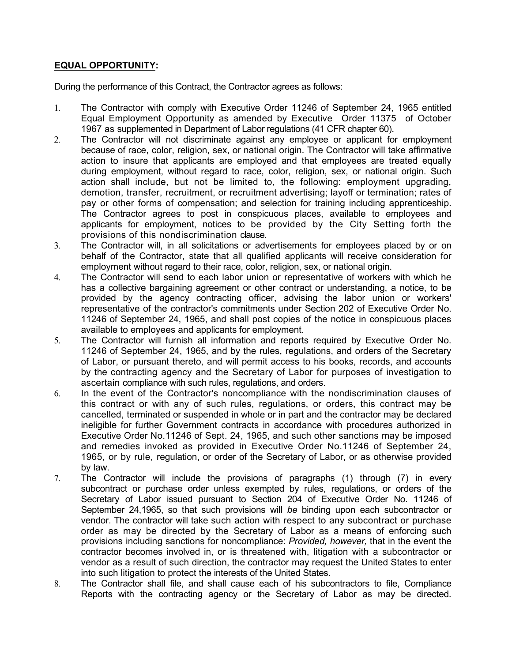# **EQUAL OPPORTUNITY:**

During the performance of this Contract, the Contractor agrees as follows:

- 1. The Contractor with comply with Executive Order 11246 of September 24, 1965 entitled Equal Employment Opportunity as amended by Executive Order 11375 of October 1967 as supplemented in Department of Labor regulations (41 CFR chapter 60).
- 2. The Contractor will not discriminate against any employee or applicant for employment because of race, color, religion, sex, or national origin. The Contractor will take affirmative action to insure that applicants are employed and that employees are treated equally during employment, without regard to race, color, religion, sex, or national origin. Such action shall include, but not be limited to, the following: employment upgrading, demotion, transfer, recruitment, or recruitment advertising; layoff or termination; rates of pay or other forms of compensation; and selection for training including apprenticeship. The Contractor agrees to post in conspicuous places, available to employees and applicants for employment, notices to be provided by the City Setting forth the provisions of this nondiscrimination clause.
- 3. The Contractor will, in all solicitations or advertisements for employees placed by or on behalf of the Contractor, state that all qualified applicants will receive consideration for employment without regard to their race, color, religion, sex, or national origin.
- 4. The Contractor will send to each labor union or representative of workers with which he has a collective bargaining agreement or other contract or understanding, a notice, to be provided by the agency contracting officer, advising the labor union or workers' representative of the contractor's commitments under Section 202 of Executive Order No. 11246 of September 24, 1965, and shall post copies of the notice in conspicuous places available to employees and applicants for employment.
- 5. The Contractor will furnish all information and reports required by Executive Order No. 11246 of September 24, 1965, and by the rules, regulations, and orders of the Secretary of Labor, or pursuant thereto, and will permit access to his books, records, and accounts by the contracting agency and the Secretary of Labor for purposes of investigation to ascertain compliance with such rules, regulations, and orders.
- 6. In the event of the Contractor's noncompliance with the nondiscrimination clauses of this contract or with any of such rules, regulations, or orders, this contract may be cancelled, terminated or suspended in whole or in part and the contractor may be declared ineligible for further Government contracts in accordance with procedures authorized in Executive Order No.11246 of Sept. 24, 1965, and such other sanctions may be imposed and remedies invoked as provided in Executive Order No.11246 of September 24, 1965, or by rule, regulation, or order of the Secretary of Labor, or as otherwise provided by law.
- 7. The Contractor will include the provisions of paragraphs (1) through (7) in every subcontract or purchase order unless exempted by rules, regulations, or orders of the Secretary of Labor issued pursuant to Section 204 of Executive Order No. 11246 of September 24,1965, so that such provisions will *be* binding upon each subcontractor or vendor. The contractor will take such action with respect to any subcontract or purchase order as may be directed by the Secretary of Labor as a means of enforcing such provisions including sanctions for noncompliance: *Provided, however,* that in the event the contractor becomes involved in, or is threatened with, litigation with a subcontractor or vendor as a result of such direction, the contractor may request the United States to enter into such litigation to protect the interests of the United States.
- 8. The Contractor shall file, and shall cause each of his subcontractors to file, Compliance Reports with the contracting agency or the Secretary of Labor as may be directed.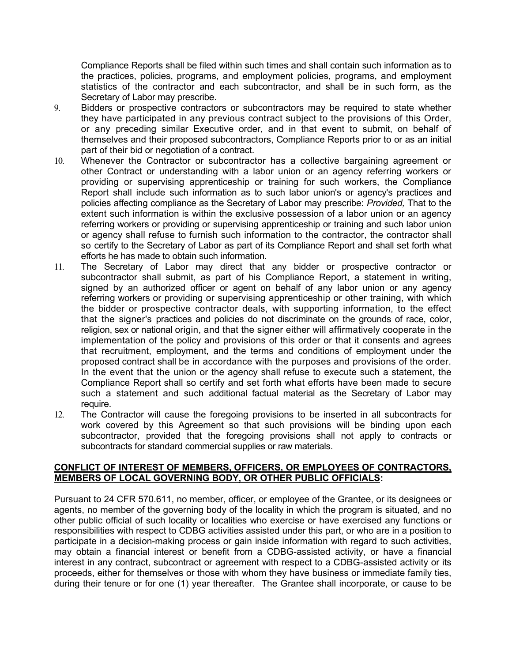Compliance Reports shall be filed within such times and shall contain such information as to the practices, policies, programs, and employment policies, programs, and employment statistics of the contractor and each subcontractor, and shall be in such form, as the Secretary of Labor may prescribe.

- 9. Bidders or prospective contractors or subcontractors may be required to state whether they have participated in any previous contract subject to the provisions of this Order, or any preceding similar Executive order, and in that event to submit, on behalf of themselves and their proposed subcontractors, Compliance Reports prior to or as an initial part of their bid or negotiation of a contract.
- 10. Whenever the Contractor or subcontractor has a collective bargaining agreement or other Contract or understanding with a labor union or an agency referring workers or providing or supervising apprenticeship or training for such workers, the Compliance Report shall include such information as to such labor union's or agency's practices and policies affecting compliance as the Secretary of Labor may prescribe: *Provided,* That to the extent such information is within the exclusive possession of a labor union or an agency referring workers or providing or supervising apprenticeship or training and such labor union or agency shall refuse to furnish such information to the contractor, the contractor shall so certify to the Secretary of Labor as part of its Compliance Report and shall set forth what efforts he has made to obtain such information.
- 11. The Secretary of Labor may direct that any bidder or prospective contractor or subcontractor shall submit, as part of his Compliance Report, a statement in writing, signed by an authorized officer or agent on behalf of any labor union or any agency referring workers or providing or supervising apprenticeship or other training, with which the bidder or prospective contractor deals, with supporting information, to the effect that the signer's practices and policies do not discriminate on the grounds of race, color, religion, sex or national origin, and that the signer either will affirmatively cooperate in the implementation of the policy and provisions of this order or that it consents and agrees that recruitment, employment, and the terms and conditions of employment under the proposed contract shall be in accordance with the purposes and provisions of the order. In the event that the union or the agency shall refuse to execute such a statement, the Compliance Report shall so certify and set forth what efforts have been made to secure such a statement and such additional factual material as the Secretary of Labor may require.
- 12. The Contractor will cause the foregoing provisions to be inserted in all subcontracts for work covered by this Agreement so that such provisions will be binding upon each subcontractor, provided that the foregoing provisions shall not apply to contracts or subcontracts for standard commercial supplies or raw materials.

#### **CONFLICT OF INTEREST OF MEMBERS, OFFICERS, OR EMPLOYEES OF CONTRACTORS, MEMBERS OF LOCAL GOVERNING BODY, OR OTHER PUBLIC OFFICIALS:**

Pursuant to 24 CFR 570.611, no member, officer, or employee of the Grantee, or its designees or agents, no member of the governing body of the locality in which the program is situated, and no other public official of such locality or localities who exercise or have exercised any functions or responsibilities with respect to CDBG activities assisted under this part, or who are in a position to participate in a decision-making process or gain inside information with regard to such activities, may obtain a financial interest or benefit from a CDBG-assisted activity, or have a financial interest in any contract, subcontract or agreement with respect to a CDBG-assisted activity or its proceeds, either for themselves or those with whom they have business or immediate family ties, during their tenure or for one (1) year thereafter. The Grantee shall incorporate, or cause to be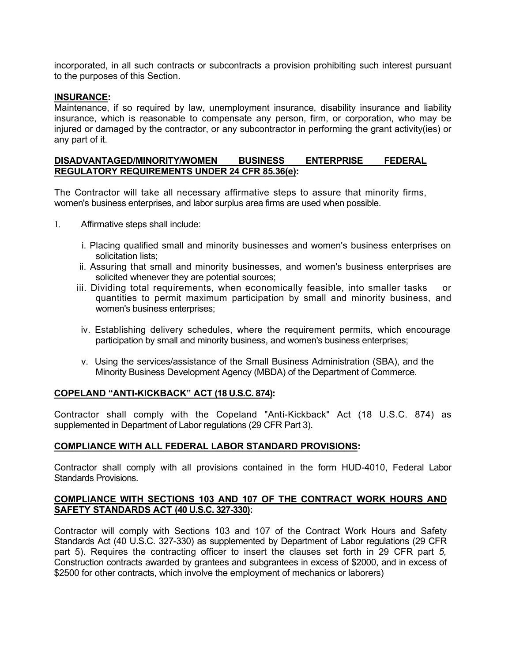incorporated, in all such contracts or subcontracts a provision prohibiting such interest pursuant to the purposes of this Section.

#### **INSURANCE:**

Maintenance, if so required by law, unemployment insurance, disability insurance and liability insurance, which is reasonable to compensate any person, firm, or corporation, who may be injured or damaged by the contractor, or any subcontractor in performing the grant activity(ies) or any part of it.

#### **DISADVANTAGED/MINORITY/WOMEN BUSINESS ENTERPRISE FEDERAL REGULATORY REQUIREMENTS UNDER 24 CFR 85.36(e):**

The Contractor will take all necessary affirmative steps to assure that minority firms, women's business enterprises, and labor surplus area firms are used when possible.

- 1. Affirmative steps shall include:
	- i. Placing qualified small and minority businesses and women's business enterprises on solicitation lists:
	- ii. Assuring that small and minority businesses, and women's business enterprises are solicited whenever they are potential sources;
	- iii. Dividing total requirements, when economically feasible, into smaller tasks or quantities to permit maximum participation by small and minority business, and women's business enterprises;
	- iv. Establishing delivery schedules, where the requirement permits, which encourage participation by small and minority business, and women's business enterprises;
	- v. Using the services/assistance of the Small Business Administration (SBA), and the Minority Business Development Agency (MBDA) of the Department of Commerce.

#### **COPELAND "ANTI-KICKBACK" ACT (18 U.S.C. 874):**

Contractor shall comply with the Copeland "Anti-Kickback" Act (18 U.S.C. 874) as supplemented in Department of Labor regulations (29 CFR Part 3).

#### **COMPLIANCE WITH ALL FEDERAL LABOR STANDARD PROVISIONS:**

Contractor shall comply with all provisions contained in the form HUD-4010, Federal Labor Standards Provisions.

#### **COMPLIANCE WITH SECTIONS 103 AND 107 OF THE CONTRACT WORK HOURS AND SAFETY STANDARDS ACT (40 U.S.C. 327-330):**

Contractor will comply with Sections 103 and 107 of the Contract Work Hours and Safety Standards Act (40 U.S.C. 327-330) as supplemented by Department of Labor regulations (29 CFR part 5). Requires the contracting officer to insert the clauses set forth in 29 CFR part *5,*  Construction contracts awarded by grantees and subgrantees in excess of \$2000, and in excess of \$2500 for other contracts, which involve the employment of mechanics or laborers)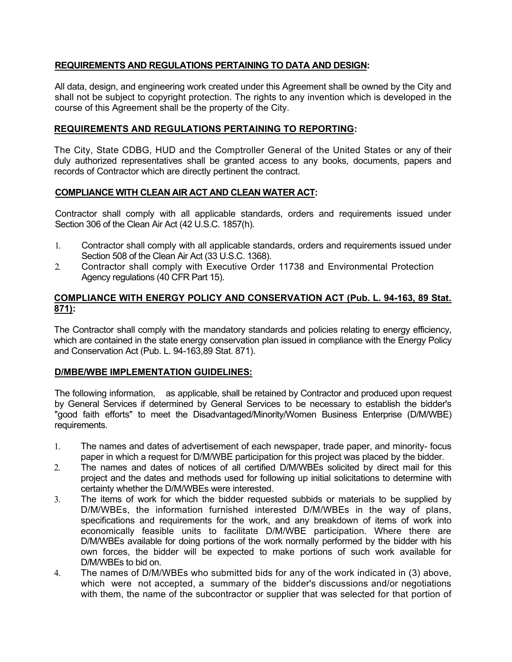# **REQUIREMENTS AND REGULATIONS PERTAINING TO DATA AND DESIGN:**

All data, design, and engineering work created under this Agreement shall be owned by the City and shall not be subject to copyright protection. The rights to any invention which is developed in the course of this Agreement shall be the property of the City.

## **REQUIREMENTS AND REGULATIONS PERTAINING TO REPORTING:**

The City, State CDBG, HUD and the Comptroller General of the United States or any of their duly authorized representatives shall be granted access to any books, documents, papers and records of Contractor which are directly pertinent the contract.

## **COMPLIANCE WITH CLEAN AIR ACT AND CLEAN WATER ACT:**

Contractor shall comply with all applicable standards, orders and requirements issued under Section 306 of the Clean Air Act (42 U.S.C. 1857(h).

- 1. Contractor shall comply with all applicable standards, orders and requirements issued under Section 508 of the Clean Air Act (33 U.S.C. 1368).
- 2. Contractor shall comply with Executive Order 11738 and Environmental Protection Agency regulations (40 CFR Part 15).

## **COMPLIANCE WITH ENERGY POLICY AND CONSERVATION ACT (Pub. L. 94-163, 89 Stat. 871):**

The Contractor shall comply with the mandatory standards and policies relating to energy efficiency, which are contained in the state energy conservation plan issued in compliance with the Energy Policy and Conservation Act (Pub. L. 94-163,89 Stat. 871).

## **D/MBE/WBE IMPLEMENTATION GUIDELINES:**

The following information, as applicable, shall be retained by Contractor and produced upon request by General Services if determined by General Services to be necessary to establish the bidder's "good faith efforts" to meet the Disadvantaged/Minority/Women Business Enterprise (D/M/WBE) requirements.

- 1. The names and dates of advertisement of each newspaper, trade paper, and minority- focus paper in which a request for D/M/WBE participation for this project was placed by the bidder.
- 2. The names and dates of notices of all certified D/M/WBEs solicited by direct mail for this project and the dates and methods used for following up initial solicitations to determine with certainty whether the D/M/WBEs were interested.
- 3. The items of work for which the bidder requested subbids or materials to be supplied by D/M/WBEs, the information furnished interested D/M/WBEs in the way of plans, specifications and requirements for the work, and any breakdown of items of work into economically feasible units to facilitate D/M/WBE participation. Where there are D/M/WBEs available for doing portions of the work normally performed by the bidder with his own forces, the bidder will be expected to make portions of such work available for D/M/WBEs to bid on.
- 4. The names of D/M/WBEs who submitted bids for any of the work indicated in (3) above, which were not accepted, a summary of the bidder's discussions and/or negotiations with them, the name of the subcontractor or supplier that was selected for that portion of